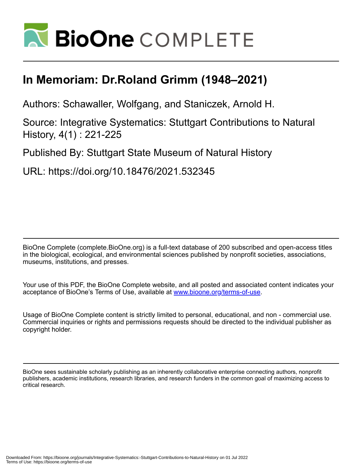

# **In Memoriam: Dr.Roland Grimm (1948–2021)**

Authors: Schawaller, Wolfgang, and Staniczek, Arnold H.

Source: Integrative Systematics: Stuttgart Contributions to Natural History, 4(1) : 221-225

Published By: Stuttgart State Museum of Natural History

URL: https://doi.org/10.18476/2021.532345

BioOne Complete (complete.BioOne.org) is a full-text database of 200 subscribed and open-access titles in the biological, ecological, and environmental sciences published by nonprofit societies, associations, museums, institutions, and presses.

Your use of this PDF, the BioOne Complete website, and all posted and associated content indicates your acceptance of BioOne's Terms of Use, available at www.bioone.org/terms-of-use.

Usage of BioOne Complete content is strictly limited to personal, educational, and non - commercial use. Commercial inquiries or rights and permissions requests should be directed to the individual publisher as copyright holder.

BioOne sees sustainable scholarly publishing as an inherently collaborative enterprise connecting authors, nonprofit publishers, academic institutions, research libraries, and research funders in the common goal of maximizing access to critical research.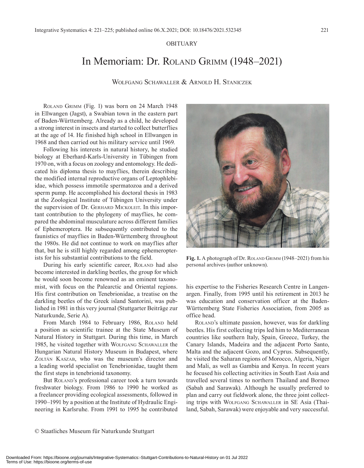### OBITUARY

## In Memoriam: Dr. Roland Grimm (1948–2021)

Wolfgang Schawaller & Arnold H. Staniczek

Roland Grimm (Fig. 1) was born on 24 March 1948 in Ellwangen (Jagst), a Swabian town in the eastern part of Baden-Württemberg. Already as a child, he developed a strong interest in insects and started to collect butterflies at the age of 14. He finished high school in Ellwangen in 1968 and then carried out his military service until 1969.

Following his interests in natural history, he studied biology at Eberhard-Karls-University in Tübingen from 1970 on, with a focus on zoology and entomology. He dedicated his diploma thesis to mayflies, therein describing the modified internal reproductive organs of Leptophlebiidae, which possess immotile spermatozoa and a derived sperm pump. He accomplished his doctoral thesis in 1983 at the Zoological Institute of Tübingen University under the supervision of Dr. Gerhard Mickoleit. In this important contribution to the phylogeny of mayflies, he compared the abdominal musculature across different families of Ephemeroptera. He subsequently contributed to the faunistics of mayflies in Baden-Württemberg throughout the 1980s. He did not continue to work on mayflies after that, but he is still highly regarded among ephemeropterists for his substantial contributions to the field.

During his early scientific career, ROLAND had also become interested in darkling beetles, the group for which he would soon become renowned as an eminent taxonomist, with focus on the Palearctic and Oriental regions. His first contribution on Tenebrionidae, a treatise on the darkling beetles of the Greek island Santorini, was published in 1981 in this very journal (Stuttgarter Beiträge zur Naturkunde, Serie A).

From March 1984 to February 1986, ROLAND held a position as scientific trainee at the State Museum of Natural History in Stuttgart. During this time, in March 1985, he visited together with WOLFGANG SCHAWALLER the Hungarian Natural History Museum in Budapest, where ZOLTÁN KASZAB, who was the museum's director and a leading world specialist on Tenebrionidae, taught them the first steps in tenebrionid taxonomy.

But ROLAND's professional career took a turn towards freshwater biology. From 1986 to 1990 he worked as a freelancer providing ecological assessments, followed in 1990–1991 by a position at the Institute of Hydraulic Engineering in Karlsruhe. From 1991 to 1995 he contributed

Fig. 1. A photograph of Dr. ROLAND GRIMM (1948–2021) from his personal archives (author unknown).

his expertise to the Fisheries Research Centre in Langenargen. Finally, from 1995 until his retirement in 2013 he was education and conservation officer at the Baden-Württemberg State Fisheries Association, from 2005 as office head.

Roland's ultimate passion, however, was for darkling beetles. His first collecting trips led him to Mediterranean countries like southern Italy, Spain, Greece, Turkey, the Canary Islands, Madeira and the adjacent Porto Santo, Malta and the adjacent Gozo, and Cyprus. Subsequently, he visited the Saharan regions of Morocco, Algeria, Niger and Mali, as well as Gambia and Kenya. In recent years he focused his collecting activities in South East Asia and travelled several times to northern Thailand and Borneo (Sabah and Sarawak). Although he usually preferred to plan and carry out fieldwork alone, the three joint collecting trips with Wolfgang Schawaller in SE Asia (Thailand, Sabah, Sarawak) were enjoyable and very successful.

© Staatliches Museum für Naturkunde Stuttgart

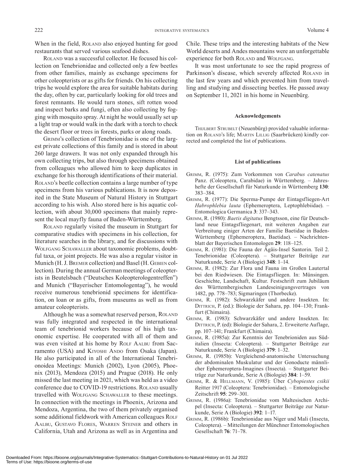When in the field, ROLAND also enjoyed hunting for good restaurants that served various seafood dishes.

Roland was a successful collector. He focused his collection on Tenebrionidae and collected only a few beetles from other families, mainly as exchange specimens for other coleopterists or as gifts for friends. On his collecting trips he would explore the area for suitable habitats during the day, often by car, particularly looking for old trees and forest remnants. He would turn stones, sift rotten wood and inspect barks and fungi, often also collecting by fogging with mosquito spray. At night he would usually set up a light trap or would walk in the dark with a torch to check the desert floor or trees in forests, parks or along roads.

Grimm's collection of Tenebrionidae is one of the largest private collections of this family and is stored in about 260 large drawers. It was not only expanded through his own collecting trips, but also through specimens obtained from colleagues who allowed him to keep duplicates in exchange for his thorough identifications of their material. ROLAND's beetle collection contains a large number of type specimens from his various publications. It is now deposited in the State Museum of Natural History in Stuttgart according to his wish. Also stored here is his aquatic collection, with about 30,000 specimens that mainly represent the local mayfly fauna of Baden-Württemberg.

Roland regularly visited the museum in Stuttgart for comparative studies with specimens in his collection, for literature searches in the library, and for discussions with Wolfgang Schawaller about taxonomic problems, doubtful taxa, or joint projects. He was also a regular visitor in Munich (H. J. Bremer collection) and Basel (H. Gebien collection). During the annual German meetings of coleopterists in Beutelsbach ("Deutsches Koleopterologentreffen") and Munich ("Bayerischer Entomologentag"), he would receive numerous tenebrionid specimens for identification, on loan or as gifts, from museums as well as from amateur coleopterists.

Although he was a somewhat reserved person, ROLAND was fully integrated and respected in the international team of tenebrionid workers because of his high taxonomic expertise. He cooperated with all of them and was even visited at his home by ROLF AALBU from Sacramento (USA) and KIYOSHI ANDO from Osaka (Japan). He also participated in all of the International Tenebrionoidea Meetings: Munich (2002), Lyon (2005), Phoenix (2013), Mendoza (2015) and Prague (2018). He only missed the last meeting in 2021, which was held as a video conference due to COVID-19 restrictions. ROLAND usually travelled with Wolfgang Schawaller to these meetings. In connection with the meetings in Phoenix, Arizona and Mendoza, Argentina, the two of them privately organised some additional fieldwork with American colleagues ROLF Aalbu, Gustavo Flores, Warren Steiner and others in California, Utah and Arizona as well as in Argentina and Chile. These trips and the interesting habitats of the New World deserts and Andes mountains were an unforgettable experience for both ROLAND and WOLFGANG.

It was most unfortunate to see the rapid progress of Parkinson's disease, which severely affected ROLAND in the last few years and which prevented him from travelling and studying and dissecting beetles. He passed away on September 11, 2021 in his home in Neuenbürg.

### **Acknowledgements**

THIJLBERT STRUBELT (Neuenbürg) provided valuable information on ROLAND's life; MARTIN LILLIG (Saarbrücken) kindly corrected and completed the list of publications.

#### **List of publications**

- Grimm, R. (1975): Zum Vorkommen von *Carabus catenatus* Panz. (Coleoptera, Carabidae) in Württemberg. – Jahreshefte der Gesellschaft für Naturkunde in Württemberg **130**: 383–384.
- Grimm, R. (1977): Die Sperma-Pumpe der Eintagsfliegen-Art *Habrophlebia lauta* (Ephemeroptera, Leptophlebiidae). – Entomologica Germanica **3**: 337–343.
- Grimm, R. (1980): *Baetis digitatus* Bengtsson, eine für Deutschland neue Eintagsfliegenart, mit weiteren Angaben zur Verbreitung einiger Arten der Familie Baetidae in Baden-Württemberg (Ephemeroptera, Baetidae). – Nachrichtenblatt der Bayerischen Entomologen **29**: 118–125.
- Grimm, R. (1981): Die Fauna der Ägäis-Insel Santorin. Teil 2. Tenebrionidae (Coleoptera). – Stuttgarter Beiträge zur Naturkunde, Serie A (Biologie) **348**: 1–14.
- Grimm, R. (1982): Zur Flora und Fauna im Großen Lautertal bei den Riedwiesen. Die Eintagsfliegen. In: Münsingen. Geschichte, Landschaft, Kultur. Festschrift zum Jubiläum des Württembergischen Landeseinigungsvertrages von 1482, pp. 778–783; Sigmaringen (Thorbecke).
- Grimm, R. (1982): Schwarzkäfer und andere Insekten. In: DITTRICH, P. (ed.): Biologie der Sahara, pp. 104–130; Frankfurt (Chimaira).
- Grimm, R. (1983): Schwarzkäfer und andere Insekten. In: DITTRICH, P. (ed): Biologie der Sahara, 2. Erweiterte Auflage, pp. 107–141; Frankfurt (Chimaira).
- Grimm, R. (1985a): Zur Kenntnis der Tenebrioniden aus Süditalien (Insecta: Coleoptera). – Stuttgarter Beiträge zur Naturkunde, Serie A (Biologie) **379**: 1–32.
- Grimm, R. (1985b): Vergleichend-anatomische Untersuchung der abdominalen Muskulatur und der Gonoducte männlicher Ephemeroptera-Imagines (Insecta). – Stuttgarter Beiträge zur Naturkunde, Serie A (Biologie) **384**: 1–59.
- Grimm, R. & Hellmann, V. (1985): Über *Cybopiestes csikii* Reitter 1917 (Coleoptera: Tenebrionidae). – Entomologische Zeitschrift **95**: 299–301.
- Grimm, R. (1986a): Tenebrionidae vom Maltesischen Archipel (Insecta: Coleoptera). – Stuttgarter Beiträge zur Naturkunde, Serie A (Biologie) **392**: 1–17.
- Grimm, R. (1986b): Tenebrionidae aus Niger und Mali (Insecta, Coleoptera). – Mitteilungen der Münchner Entomologischen Gesellschaft **76**: 71–78.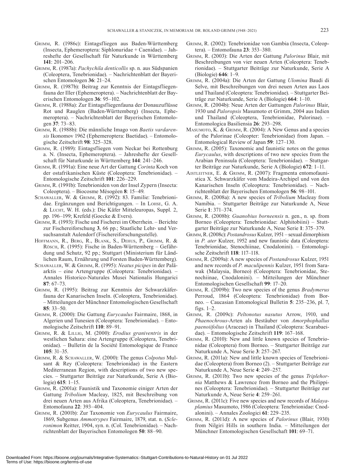- Grimm, R. (1986c): Eintagsfliegen aus Baden-Württemberg (Insecta, Ephemeroptera: Siphlonuridae + Caenidae). – Jahreshefte der Gesellschaft für Naturkunde in Württemberg **141**: 201–206.
- Grimm, R. (1987a): *Pachychila denticollis* sp. n. aus Südspanien (Coleoptera, Tenebrionidae). – Nachrichtenblatt der Bayerischen Entomologen **36**: 21–24.
- Grimm, R. (1987b): Beitrag zur Kenntnis der Eintagsfliegenfauna der Iller (Ephemeroptera). – Nachrichtenblatt der Bayerischen Entomologen **36**: 95–102.
- Grimm, R. (1988a): Zur Eintagsfliegenfauna der Donauzuflüsse Rot und Rauglen (Baden-Württemberg) (Insecta, Ephemeroptera). – Nachrichtenblatt der Bayerischen Entomologen **37**: 73–83.
- Grimm, R. (1988b): Die männliche Imago von *Baetis vardarensis* Ikonomov 1962 (Ephemeroptera: Baetidae). – Entomologische Zeitschrift **98**: 325–328.
- Grimm, R. (1989): Eintagsfliegen vom Neckar bei Rottenburg a. N. (Insecta, Ephemeroptera). – Jahreshefte der Gesellschaft für Naturkunde in Württemberg **144**: 241–246.
- Grimm, R. (1991a): Eine neue Art der Gattung *Corinta* Koch von der ostafrikanischen Küste (Coleoptera: Tenebrionidae). – Entomologische Zeitschrift **101**: 226–229.
- Grimm, R. (1991b): Tenebrioniden von der Insel Zypern (Insecta: Coleoptera). – Biocosme Mésogéen **8**: 15–49.
- Schawaller, W. & Grimm, R. (1992): 83. Familie: Tenebrionidae. Ergänzungen und Berichtigungen. – In LOHSE, G. A.  $&$  Lucht, W. H. (eds.): Die Käfer Mitteleuropas, Suppl. 2, pp. 196–199; Krefeld (Goecke & Evers).
- Grimm, R. (1993): Fische und Fischerei im Oberrhein. Berichte zur Fischereiforschung **3**, 66 pp.; Staatliche Lehr- und Versuchsanstalt Aulendorf (Fischereiforschungsstelle).
- Hoffmann, R., Berg, R., Blank, S., Dehus, P., Grimm, R. & Rösch, R. (1995): Fische in Baden-Württemberg – Gefährdung und Schutz, 92 pp.; Stuttgart (Ministerium für Ländlichen Raum, Ernährung und Forsten Baden-Württemberg).
- Schawaller, W. & Grimm, R. (1995): *Neatus picipes* in der Paläarktis – eine Artengruppe (Coleoptera: Tenebrionidae). – Annales Historico-Naturales Musei Nationalis Hungarici **87**: 67–73.
- Grimm, R. (1995): Beitrag zur Kenntnis der Schwarzkäferfauna der Kanarischen Inseln. (Coleoptera, Tenebrionidae). – Mitteilungen der Münchner Entomologischen Gesellschaft **85**: 33–50.
- Grimm, R. (2000): Die Gattung *Eurycaulus* Fairmaire, 1868, in Algerien und Tunesien (Coleoptera: Tenebrionidae). – Entomologische Zeitschrift **110**: 89–91.
- Grimm, R. & Lillig, M. (2000): *Erodius graniventris* in der westlichen Sahara: eine Artengruppe (Coleoptera, Tenebrionidae). – Bulletin de la Société Entomologique de France **105**: 31–35.
- Grimm, R. & Schawaller, W. (2000): The genus *Colpotus* Mulsant & Rey (Coleoptera: Tenebrionidae) in the Eastern Mediterranean Region, with descriptions of two new species. – Stuttgarter Beiträge zur Naturkunde, Serie A (Biologie) **615**: 1–15.
- Grimm, R. (2001a): Faunistik und Taxonomie einiger Arten der Gattung *Tribolium* Macleay, 1825, mit Beschreibung von drei neuen Arten aus Afrika (Coleoptera, Tenebrionidae). – Entomofauna **22**: 393–404.
- Grimm, R. (2001b): Zur Taxonomie von *Eurycaulus* Fairmaire, 1869, Subgenus *Ammotrypes* Fairmaire, 1879, stat. n. (*Scleronimon* Reitter, 1904, syn. n. (Col. Tenebrionidae). – Nachrichtenblatt der Bayerischen Entomologen **50**: 88–90.
- Grimm, R. (2002): Tenebrionidae von Gambia (Insecta, Coleoptera). – Entomofauna **23**: 353–380.
- Grimm, R. (2003): Die Arten der Gattung *Palorinus* Blair, mit Beschreibungen von vier neuen Arten (Coleoptera: Tenebrionidae). – Stuttgarter Beiträge zur Naturkunde, Serie A (Biologie) **646**: 1–9.
- Grimm, R. (2004a): Die Arten der Gattung *Ulomina* Baudi di Selve, mit Beschreibungen von drei neuen Arten aus Laos und Thailand (Coleoptera: Tenebrionidae). – Stuttgarter Beiträge zur Naturkunde, Serie A (Biologie) **664**: 1–10.
- Grimm, R. (2004b): Neue Arten der Gattungen *Palorinus* Blair, 1930 und *Paloropsis* Masumoto et Grimm, 2004 aus Indien und Thailand (Coleoptera, Tenebrionidae, Palorinae). – Entomologica Basiliensia **26**: 293–298.
- Masumoto, K. & Grimm, R. (2004): A New Genus and a species of the Palorinae (Coleopter: Tenebrionidae) from Japan. – Entomological Review of Japan **59**: 127–130.
- Grimm, R. (2005): Taxonomic and faunistic notes on the genus *Eurycaulus*, with descriptions of two new species from the Arabian Peninsula (Coleoptera: Tenebrionidae). – Stuttgarter Beiträge zur Naturkunde, Serie A (Biologie) **672**: 1–11.
- Aistleitner, E. & Grimm, R. (2007): Fragmenta entomofaunistica X. Schwarzkäfer vom Madeira-Archipel und von den Kanarischen Inseln (Coleoptera: Tenebrionidae). – Nachrichtenblatt der Bayerischen Entomologen **56**: 98–101.
- Grimm, R. (2008a): A new species of *Tribolium* Macleay from Namibia. – Stuttgarter Beiträge zur Naturkunde A, Neue Serie **1**: 371–374.
- Grimm, R. (2008b): *Guanobius borneensis* n. gen., n. sp. from Borneo (Coleoptera: Tenebrionidae: Alphitobiini) – Stuttgarter Beiträge zur Naturkunde A, Neue Serie **1**: 375–379.
- Grimm, R. (2008c): *Postandrosus* Kulzer, 1951 sexual dimorphism in *P. ater* Kulzer, 1952 and new faunistic data (Coleoptera: Tenebrionidae, Stenochiinae, Cnodalonini). – Entomologische Zeitschrift **118**: 117–118.
- Grimm, R. (2009a): A new species of *Postandrosus* Kulzer, 1951 and new records of *P. maculipennis* Kulzer, 1951 from Sarawak (Malaysia, Borneo) (Coleoptera: Tenebrionidae, Stenochiinae, Cnodalonini). – Mitteilungen der Münchner Entomologischen Gesellschaft **99**: 17–20.
- Grimm, R. (2009b): Two new species of the genus *Bradymerus* Perroud, 1864 (Coleoptera: Tenebrionidae) from Borneo. – Caucasian Entomological Bulletin **5**: 235–236, pl. 7, figs. 1–2.
- Grimm, R. (2009c): *Peltonotus nasutus* Arrow, 1910, und *Phaenochrous*-Arten als Bestäuber von *Amorphophallus paenoiifolius* (Araceae) in Thailand (Coleoptera: Scarabaeidae). – Entomologische Zeitschrift **119**: 167–168.
- Grimm, R. (2010): New and little known species of Tenebrionidae (Coleoptera) from Borneo. – Stuttgarter Beiträge zur Naturkunde A, Neue Serie **3**: 257–267.
- Grimm, R. (2011a): New and little known species of Tenebrionidae (Coleoptera) from Borneo (2). – Stuttgarter Beiträge zur Naturkunde A, Neue Serie **4**: 249–257.
- Grimm, R. (2011b): Two new species of the genus *Triplehornia* Matthews & Lawrence from Borneo and the Philippines (Coleoptera: Tenebrionidae). – Stuttgarter Beiträge zur Naturkunde A, Neue Serie **4**: 259–261.
- Grimm, R. (2011c): Five new species and new records of *Malayaplamius* Masumoto, 1986 (Coleoptera: Tenebrionidae: Cnodalonini). – Annales Zoologici **61**: 229–235.
- Grimm, R. (2011d): A new species of *Palorinus* (Blair, 1930) from Nilgiri Hills in southern India. – Mitteilungen der Münchner Entomologischen Gesellschaft **101**: 69–71.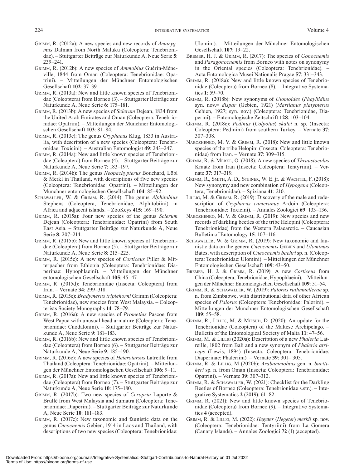- Grimm, R. (2012a): A new species and new records of *Amarygmus* Dalman from North Maluku (Coleoptera: Tenebrionidae). – Stuttgarter Beiträge zur Naturkunde A, Neue Serie **5**: 239–241.
- Grimm, R. (2012b): A new species of *Ammobius* Guérin-Méneville, 1844 from Oman (Coleoptera: Tenebrionidae: Opatrini). – Mitteilungen der Münchner Entomologischen Gesellschaft **102**: 37–39.
- Grimm, R. (2013a): New and little known species of Tenebrionidae (Coleoptera) from Borneo (3). – Stuttgarter Beiträge zur Naturkunde A, Neue Serie **6**: 175–181.
- Grimm, R. (2013b): A new species of *Sclerum* Dejean, 1834 from the United Arab Emirates and Oman (Coleoptera: Tenebrionidae: Opatrini). – Mitteilungen der Münchner Entomologischen Gesellschaft **103**: 81–84.
- Grimm, R. (2013c): The genus *Cryphaeus* Klug, 1833 in Australia, with description of a new species (Coleoptera: Tenebrionidae: Toxicini). – Australian Entomologist **49**: 243–247.
- Grimm, R. (2014a): New and little known species of Tenebrionidae (Coleoptera) from Borneo (4). – Stuttgarter Beiträge zur Naturkunde A, Neue Serie **7**: 183–197.
- Grimm, R. (2014b): The genus *Neopachypterus* Bouchard, Löbl & Merkl in Thailand, with descriptions of five new species (Coleoptera: Tenebrionidae: Opatrini). – Mitteilungen der Münchner entomologischen Gesellschaft **104**: 85–92.
- Schawaller, W. & Grimm, R. (2014): The genus *Alphitobius* Stephens (Coleoptera, Tenebrionidae, Alphitobiini) in Africa and adjacent islands. – ZooKeys **415**: 169–190.
- Grimm, R. (2015a): Four new species of the genus *Sclerum* Dejean (Coleoptera: Tenebrionidae: Opatrini) from South East Asia. – Stuttgarter Beiträge zur Naturkunde A, Neue Serie **8**: 207–214.
- Grimm, R. (2015b): New and little known species of Tenebrionidae (Coleoptera) from Borneo (5). – Stuttgarter Beiträge zur Naturkunde A, Neue Serie **8**: 215–225.
- Grimm, R. (2015c): A new species of *Corticeus* Piller & Mitterpacher from Ethiopia (Coleoptera: Tenebrionidae: Diaperinae: Hypophlaeini). – Mitteilungen der Münchner entomologischen Gesellschaft **105**: 45–47.
- Grimm, R. (2015d): Tenebrionidae (Insecta: Coleoptera) from Iran. – Vernate **34**: 299–318.
- Grimm, R. (2015e): *Bradymerus triplehorni* Grimm (Coleoptera: Tenebrionidae), new species from West Malaysia. – Coleopterists Society Monographs **14**: 78–79.
- Grimm, R. (2016a): A new species of *Promethis* Pascoe from West Papua with unusual head armature (Coleoptera: Tenebrionidae: Cnodalonini). – Stuttgarter Beiträge zur Naturkunde A, Neue Serie **9**: 181–183.
- Grimm, R. (2016b): New and little known species of Tenebrionidae (Coleoptera) from Borneo (6). – Stuttgarter Beiträge zur Naturkunde A, Neue Serie **9**: 185–190.
- Grimm, R. (2016c): A new species of *Heterotarsus* Latreille from Thailand (Coleoptera: Tenebrionidae: Opatrini). – Mitteilungen der Münchner Entomologischen Gesellschaft **106**: 9–11.
- Grimm, R. (2017a): New and little known species of Tenebrionidae (Coleoptera) from Borneo (7). – Stuttgarter Beiträge zur Naturkunde A, Neue Serie **10**: 175–180.
- Grimm, R. (2017b): Two new species of *Ceropria* Laporte & Brullé from West Malaysia and Sumatra (Coleoptera: Tenebrionidae: Diaperini). – Stuttgarter Beiträge zur Naturkunde A, Neue Serie **10**: 181–183.
- Grimm, R. (2017c): New taxonomic and faunistic data on the genus *Cneocnemis* Gebien, 1914 in Laos and Thailand, with descriptions of two new species (Coleoptera: Tenebrionidae:

Ulomini). – Mitteilungen der Münchner Entomologischen Gesellschaft **107**: 19–22.

- Bremer, H. J. & Grimm, R. (2017): The species of *Gonocnemis* and *Paragonocnemis* from Borneo with notes on synonymy in the Oriental species (Coleoptera: Tenebrionidae). – Acta Entomologica Musei Nationalis Pragae **57**: 331–343.
- Grimm, R. (2018a): New and little known species of Tenebrionidae (Coleoptera) from Borneo (8). – Integrative Systematics **1**: 59–70.
- Grimm, R. (2018b): New synonyms of *Ulomoides* (*Phayllidius* syn. nov.= *dispar* (Gebien, 1921) (*Martianus platypterus* Gebien, 1927; syn. nov.) (Coleoptera: Tenebrionidae, Diaperini). – Entomologische Zeitschrift **128**: 103–104.
- Grimm, R. (2018c): *Pedinus* (*Colpotus*) *skalei* n. sp. (Insecta: Coleoptera: Pedinini) from southern Turkey. – Vernate **37**: 307–308.
- NABOZHENKO, M. V. & GRIMM, R. (2018): New and little known species of the tribe Helopini (Insecta: Coleoptera: Tenebrionidae) from Iran. – Vernate **37**: 309–315.
- Grimm, R. & Merkl, O. (2018): A new species of *Thraustocolus* Kraatz from Iran (Insecta: Coleoptera: Tentyriini). – Vernate **37**: 317–319.
- Grimm, R., Smith, A. D., Steiner, W. E. jr. & Wachtel, F. (2018): New synonymy and new combination of *Hypogena* (Coleoptera, Tenebrionidae). – Spixiana **41**: 210.
- LILLIG, M. & GRIMM, R. (2019): Discovery of the male and redescription of *Cryphaeus camerunus* Ardoin (Coleoptera: Tenebrionidae: Toxicini). – Annales Zoologici **69**: 133–136.
- NABOZHENKO, M. V. & GRIMM, R. (2019): New species and new records of darkling beetles of the tribe Helopini (Coleoptera: Tenebrionidae) from the Western Palaearctic. – Caucasian Bulletin of Entomology **15**: 107–116.
- SCHAWALLER, W. & GRIMM, R. (2019): New taxonomic and faunistic data on the genera *Cneocnemis* Gebien and *Ulomimus* Bates, with description of *Cneocnemis baehri* sp. n. (Coleoptera: Tenebrionidae: Ulomini). – Mitteilungen der Münchner Entomologischen Gesellschaft **109**: 43–50.
- Bremer, H. J. & Grimm, R. (2019): A new *Corticeus* from China (Coleoptera, Tenebrionidae, Hypophlaeini). – Mitteilungen der Münchner Entomologischen Gesellschaft **109**: 51–54.
- Grimm, R. & Schawaller, W. (2019): *Palorus ruthmuellerae* sp. n. from Zimbabwe, with distributional data of other African species of *Palorus* (Coleoptera: Tenebrionidae: Palorini). – Mitteilungen der Münchner Entomologischen Gesellschaft **109**: 55–58.
- GRIMM, R., LILLIG, M. & MIFSUD, D. (2020): An update for the Tenebrionidae (Coleoptera) of the Maltese Archipelago. – Bulletin of the Entomological Society of Malta **11**: 47–56.
- Grimm, M. & Lillig (2020a): Description of a new *Phaleria* Latreille, 1802 from Bali and a new synonym of *Phaleria atriceps* (Lewis, 1894) (Insecta: Coleoptera: Tenebrionidae: Diaperinae: Phaleriini). – Vernate **39**: 301– 305.
- Grimm, R. & Lillig, M (2020b): *Arabammobius* gen. n. *buettikeri* sp. n. from Oman (Insecta: Coleoptera: Tenebrionidae: Opatrini). – Vernate **39**: 307–312.
- Grimm, R. & Schawaller, W. (2021): Checklist for the Darkling Beetles of Borneo (Coleoptera: Tenebrionidae s.str.). – Integrative Systematics **2** (2019): 61–82.
- Grimm, R. (2021): New and little known species of Tenebrionidae (Coleoptera) from Borneo (9). – Integrative Systematics **4** (accepted).
- Grimm, R. & Lillig, M. (2022): *Hegeter* (*Hegeter*) *merkli* sp. nov. (Coleoptera: Tenebrionidae: Tentyriini) from La Gomera (Canary Islands). – Annales Zoologici **72** (1) (accepted).